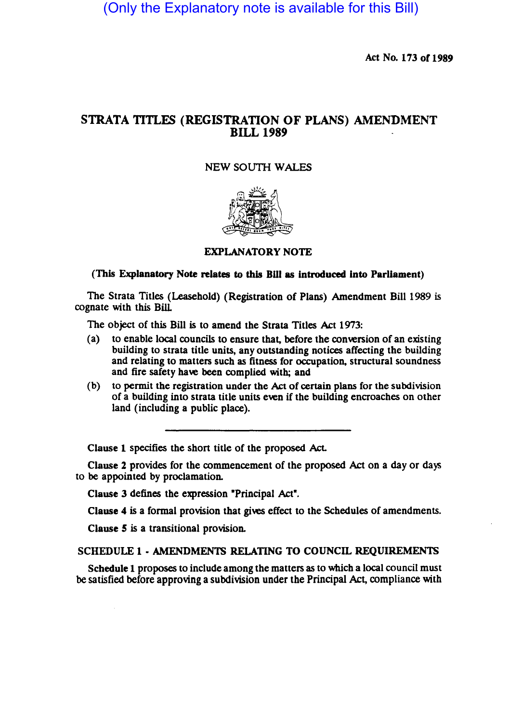(Only the Explanatory note is available for this Bill)

Act No. 173 or 1989

# STRATA TITLES (REGISTRATION OF PLANS) AMENDMENT BILL 1989

## NEW SOUTH WALES



EXPLANATORY NOTE

### (This Explanatory Note relates to this Bill as introduced into Parliament)

The Strata Titles (Leasehold) (Registration of Plans) Amendment Bill 1989 is cognate with this Bill

The object of this Bill is to amend the Strata Titles Act 1973:

- (a) to enable local councils to ensure that, before the conversion of an existing building to strata title units, any outstanding notices affecting the building and relating to matters such as fitness for occupation, structural soundness and fire safety have been complied with; and
- (b) to permit the registration under the Act of certain plans for the subdivision of a building into strata title units even if the building encroaches on other land (including a public place).

Clause 1 specifies the short title of the proposed Act.

Clause 2 provides for the commencement of the proposed Act on a day or days to be appointed by proclamation.

Clause 3 defines the expression "Principal Act".

Clause 4 is a formal provision that gives effect to the Schedules of amendments.

Clause *5* is a transitional provision.

#### SCHEDULE 1 • AMENDMENTS RELATING TO COUNCIL REQUIREMENTS

Schedule 1 proposes to include among the matters as to which a local council must be satisfied before approving a subdivision under the Principal Act, compliance with